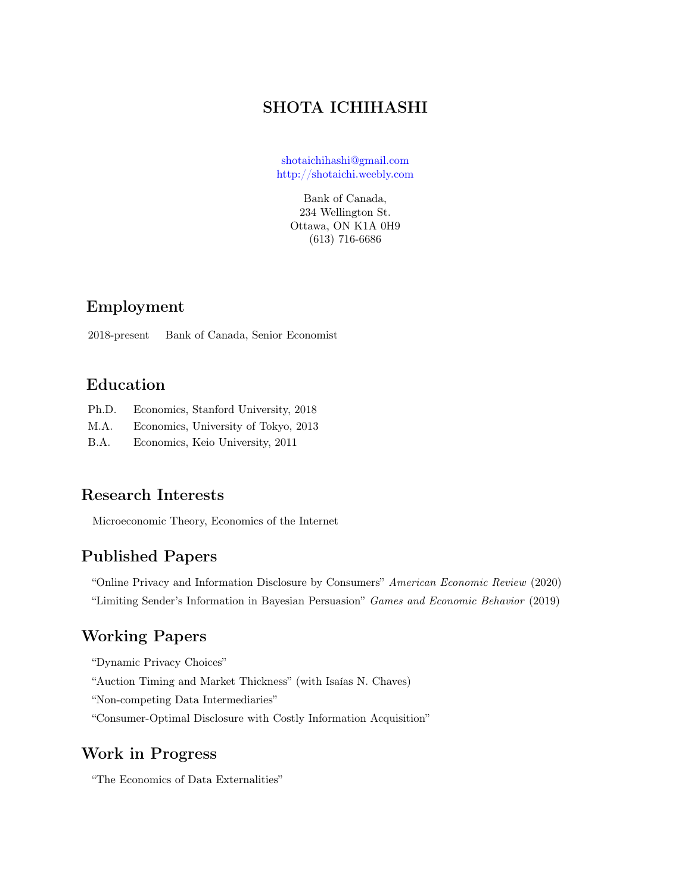# SHOTA ICHIHASHI

[shotaichihashi@gmail.com](mailto:shotaichihashi@gmail.com) <http://shotaichi.weebly.com>

> Bank of Canada, 234 Wellington St. Ottawa, ON K1A 0H9 (613) 716-6686

# Employment

2018-present Bank of Canada, Senior Economist

#### Education

- Ph.D. Economics, Stanford University, 2018
- M.A. Economics, University of Tokyo, 2013
- B.A. Economics, Keio University, 2011

### Research Interests

Microeconomic Theory, Economics of the Internet

# Published Papers

"Online Privacy and Information Disclosure by Consumers" American Economic Review (2020) "Limiting Sender's Information in Bayesian Persuasion" Games and Economic Behavior (2019)

### Working Papers

"Dynamic Privacy Choices"

"Auction Timing and Market Thickness" (with Isaías N. Chaves)

"Non-competing Data Intermediaries"

"Consumer-Optimal Disclosure with Costly Information Acquisition"

# Work in Progress

"The Economics of Data Externalities"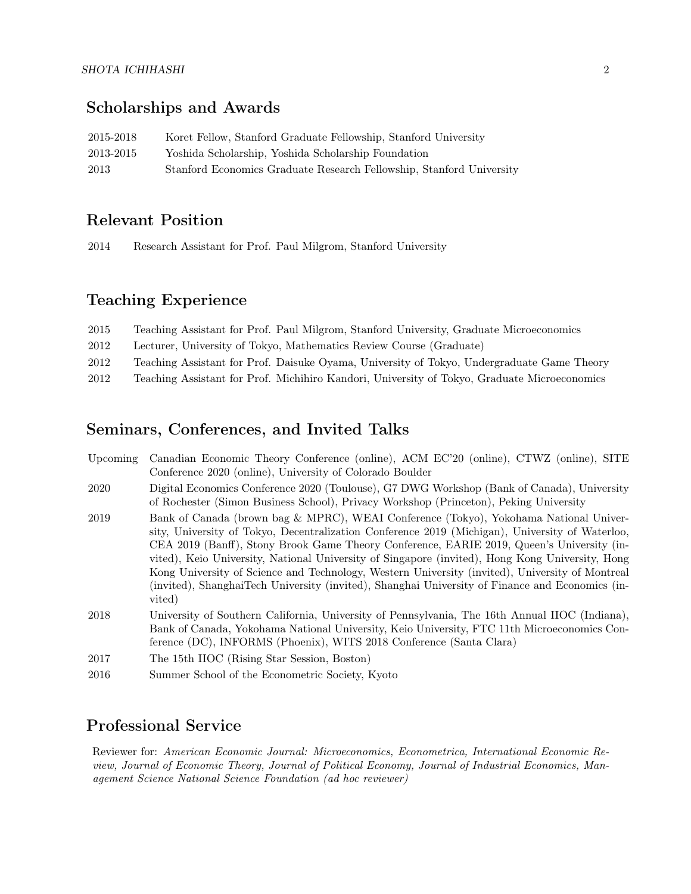# Scholarships and Awards

| 2015-2018 | Koret Fellow, Stanford Graduate Fellowship, Stanford University      |
|-----------|----------------------------------------------------------------------|
| 2013-2015 | Yoshida Scholarship, Yoshida Scholarship Foundation                  |
| 2013      | Stanford Economics Graduate Research Fellowship, Stanford University |

### Relevant Position

2014 Research Assistant for Prof. Paul Milgrom, Stanford University

# Teaching Experience

| 2015 | Teaching Assistant for Prof. Paul Milgrom, Stanford University, Graduate Microeconomics      |
|------|----------------------------------------------------------------------------------------------|
| 2012 | Lecturer, University of Tokyo, Mathematics Review Course (Graduate)                          |
| 2012 | Teaching Assistant for Prof. Daisuke Oyama, University of Tokyo, Undergraduate Game Theory   |
| 2012 | Teaching Assistant for Prof. Michihiro Kandori, University of Tokyo, Graduate Microeconomics |

### Seminars, Conferences, and Invited Talks

| Upcoming | Canadian Economic Theory Conference (online), ACM EC'20 (online), CTWZ (online), SITE<br>Conference 2020 (online), University of Colorado Boulder                                                                                                                                                                                                                                                                                                                                                                                                                                                        |
|----------|----------------------------------------------------------------------------------------------------------------------------------------------------------------------------------------------------------------------------------------------------------------------------------------------------------------------------------------------------------------------------------------------------------------------------------------------------------------------------------------------------------------------------------------------------------------------------------------------------------|
| 2020     | Digital Economics Conference 2020 (Toulouse), G7 DWG Workshop (Bank of Canada), University<br>of Rochester (Simon Business School), Privacy Workshop (Princeton), Peking University                                                                                                                                                                                                                                                                                                                                                                                                                      |
| 2019     | Bank of Canada (brown bag & MPRC), WEAI Conference (Tokyo), Yokohama National Univer-<br>sity, University of Tokyo, Decentralization Conference 2019 (Michigan), University of Waterloo,<br>CEA 2019 (Banff), Stony Brook Game Theory Conference, EARIE 2019, Queen's University (in-<br>vited), Keio University, National University of Singapore (invited), Hong Kong University, Hong<br>Kong University of Science and Technology, Western University (invited), University of Montreal<br>(invited), ShanghaiTech University (invited), Shanghai University of Finance and Economics (in-<br>vited) |
| 2018     | University of Southern California, University of Pennsylvania, The 16th Annual IIOC (Indiana),<br>Bank of Canada, Yokohama National University, Keio University, FTC 11th Microeconomics Con-<br>ference (DC), INFORMS (Phoenix), WITS 2018 Conference (Santa Clara)                                                                                                                                                                                                                                                                                                                                     |
| 2017     | The 15th IIOC (Rising Star Session, Boston)                                                                                                                                                                                                                                                                                                                                                                                                                                                                                                                                                              |
| 2016     | Summer School of the Econometric Society, Kyoto                                                                                                                                                                                                                                                                                                                                                                                                                                                                                                                                                          |

# Professional Service

Reviewer for: American Economic Journal: Microeconomics, Econometrica, International Economic Review, Journal of Economic Theory, Journal of Political Economy, Journal of Industrial Economics, Management Science National Science Foundation (ad hoc reviewer)